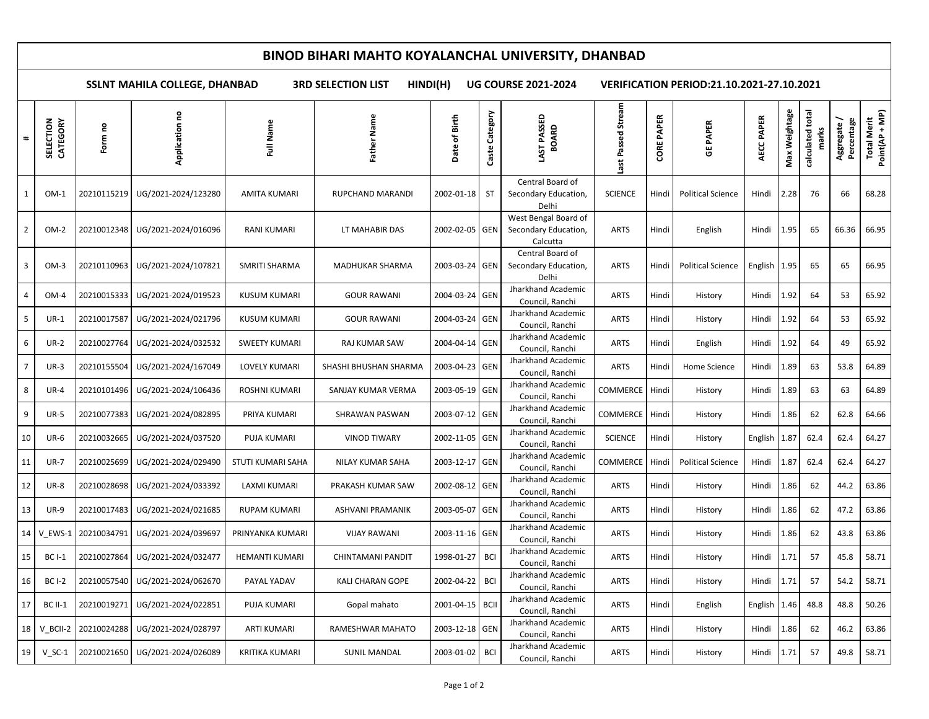## **BINOD BIHARI MAHTO KOYALANCHAL UNIVERSITY, DHANBAD**

**SSLNT MAHILA COLLEGE, DHANBAD 3RD SELECTION LIST HINDI(H) UG COURSE 2021-2024 VERIFICATION PERIOD:21.10.2021-27.10.2021**

| $\ddagger$     | CATEGORY<br>SELECTION | Form no     | å<br>Application                  | Full Name             | Name<br>Father          | Birth<br>Date of | Category<br>Caste | LAST PASSED<br><b>BOARD</b>                              | ast Passed Stream | <b>PAPER</b><br>CORE | <b>GE PAPER</b>          | AECC PAPER       | Max Weightage | calculated | Percentage<br>Aggregate | Point(AP + MP)<br><b>Total Merit</b> |
|----------------|-----------------------|-------------|-----------------------------------|-----------------------|-------------------------|------------------|-------------------|----------------------------------------------------------|-------------------|----------------------|--------------------------|------------------|---------------|------------|-------------------------|--------------------------------------|
| 1              | $OM-1$                | 20210115219 | UG/2021-2024/123280               | <b>AMITA KUMARI</b>   | RUPCHAND MARANDI        | 2002-01-18       | <b>ST</b>         | Central Board of<br>Secondary Education,<br>Delhi        | <b>SCIENCE</b>    | Hindi                | <b>Political Science</b> | Hindi            | 2.28          | 76         | 66                      | 68.28                                |
| $\overline{2}$ | $OM-2$                | 20210012348 | UG/2021-2024/016096               | RANI KUMARI           | LT MAHABIR DAS          | 2002-02-05 GEN   |                   | West Bengal Board of<br>Secondary Education,<br>Calcutta | ARTS              | Hindi                | English                  | Hindi            | 1.95          | 65         | 66.36                   | 66.95                                |
| $\overline{3}$ | $OM-3$                | 20210110963 | UG/2021-2024/107821               | SMRITI SHARMA         | MADHUKAR SHARMA         | 2003-03-24 GEN   |                   | Central Board of<br>Secondary Education,<br>Delhi        | <b>ARTS</b>       | Hindi                | <b>Political Science</b> | English 1.95     |               | 65         | 65                      | 66.95                                |
| 4              | OM-4                  | 20210015333 | UG/2021-2024/019523               | <b>KUSUM KUMARI</b>   | <b>GOUR RAWANI</b>      | 2004-03-24       | GEN               | Jharkhand Academic<br>Council, Ranchi                    | <b>ARTS</b>       | Hindi                | History                  | Hindi            | 1.92          | 64         | 53                      | 65.92                                |
| 5              | $UR-1$                | 20210017587 | UG/2021-2024/021796               | KUSUM KUMARI          | <b>GOUR RAWANI</b>      | 2004-03-24 GEN   |                   | Jharkhand Academic<br>Council, Ranchi                    | <b>ARTS</b>       | Hindi                | History                  | Hindi            | 1.92          | 64         | 53                      | 65.92                                |
| 6              | $UR-2$                | 20210027764 | UG/2021-2024/032532               | <b>SWEETY KUMARI</b>  | RAJ KUMAR SAW           | 2004-04-14 GEN   |                   | Jharkhand Academic<br>Council, Ranchi                    | ARTS              | Hindi                | English                  | Hindi            | 1.92          | 64         | 49                      | 65.92                                |
| $\overline{7}$ | $UR-3$                | 20210155504 | UG/2021-2024/167049               | <b>LOVELY KUMARI</b>  | SHASHI BHUSHAN SHARMA   | 2003-04-23 GEN   |                   | Jharkhand Academic<br>Council, Ranchi                    | <b>ARTS</b>       | Hindi                | Home Science             | Hindi            | 1.89          | 63         | 53.8                    | 64.89                                |
| 8              | <b>UR-4</b>           | 20210101496 | UG/2021-2024/106436               | <b>ROSHNI KUMARI</b>  | SANJAY KUMAR VERMA      | 2003-05-19 GEN   |                   | Jharkhand Academic<br>Council, Ranchi                    | <b>COMMERCE</b>   | Hindi                | History                  | Hindi            | 1.89          | 63         | 63                      | 64.89                                |
| 9              | <b>UR-5</b>           | 20210077383 | UG/2021-2024/082895               | PRIYA KUMARI          | SHRAWAN PASWAN          | 2003-07-12 GEN   |                   | Jharkhand Academic<br>Council, Ranchi                    | COMMERCE          | Hindi                | History                  | Hindi            | 1.86          | 62         | 62.8                    | 64.66                                |
| 10             | $UR-6$                | 20210032665 | UG/2021-2024/037520               | <b>PUJA KUMARI</b>    | <b>VINOD TIWARY</b>     | 2002-11-05 GEN   |                   | Jharkhand Academic<br>Council, Ranchi                    | <b>SCIENCE</b>    | Hindi                | History                  | English          | 1.87          | 62.4       | 62.4                    | 64.27                                |
| 11             | <b>UR-7</b>           | 20210025699 | UG/2021-2024/029490               | STUTI KUMARI SAHA     | NILAY KUMAR SAHA        | 2003-12-17 GEN   |                   | Jharkhand Academic<br>Council, Ranchi                    | COMMERCE          | Hindi                | <b>Political Science</b> | Hindi            | 1.87          | 62.4       | 62.4                    | 64.27                                |
| 12             | <b>UR-8</b>           | 20210028698 | UG/2021-2024/033392               | LAXMI KUMARI          | PRAKASH KUMAR SAW       | 2002-08-12 GEN   |                   | Jharkhand Academic<br>Council, Ranchi                    | ARTS              | Hindi                | History                  | Hindi            | 1.86          | 62         | 44.2                    | 63.86                                |
| 13             | <b>UR-9</b>           | 20210017483 | UG/2021-2024/021685               | <b>RUPAM KUMARI</b>   | <b>ASHVANI PRAMANIK</b> | 2003-05-07 GEN   |                   | Jharkhand Academic<br>Council, Ranchi                    | <b>ARTS</b>       | Hindi                | History                  | Hindi            | 1.86          | 62         | 47.2                    | 63.86                                |
| 14             | V_EWS-1               | 20210034791 | UG/2021-2024/039697               | PRINYANKA KUMARI      | <b>VIJAY RAWANI</b>     | 2003-11-16 GEN   |                   | Jharkhand Academic<br>Council, Ranchi                    | ARTS              | Hindi                | History                  | Hindi            | 1.86          | 62         | 43.8                    | 63.86                                |
| 15             | <b>BC I-1</b>         | 20210027864 | UG/2021-2024/032477               | <b>HEMANTI KUMARI</b> | CHINTAMANI PANDIT       | 1998-01-27       | <b>BCI</b>        | Jharkhand Academic<br>Council, Ranchi                    | ARTS              | Hindi                | History                  | Hindi            | 1.71          | 57         | 45.8                    | 58.71                                |
| 16             | <b>BC I-2</b>         | 20210057540 | UG/2021-2024/062670               | PAYAL YADAV           | KALI CHARAN GOPE        | 2002-04-22       | <b>BCI</b>        | Jharkhand Academic<br>Council, Ranchi                    | <b>ARTS</b>       | Hindi                | History                  | Hindi            | 1.71          | 57         | 54.2                    | 58.71                                |
| 17             | <b>BC II-1</b>        | 20210019271 | UG/2021-2024/022851               | PUJA KUMARI           | Gopal mahato            | 2001-04-15 BCII  |                   | Jharkhand Academic<br>Council, Ranchi                    | <b>ARTS</b>       | Hindi                | English                  | English $ 1.46 $ |               | 48.8       | 48.8                    | 50.26                                |
| 18             | V BCII-2              | 20210024288 | UG/2021-2024/028797               | <b>ARTI KUMARI</b>    | RAMESHWAR MAHATO        | 2003-12-18 GEN   |                   | Jharkhand Academic<br>Council, Ranchi                    | ARTS              | Hindi                | History                  | Hindi            | 1.86          | 62         | 46.2                    | 63.86                                |
| 19             | $V_S$ C-1             |             | 20210021650   UG/2021-2024/026089 | KRITIKA KUMARI        | <b>SUNIL MANDAL</b>     | 2003-01-02 BCI   |                   | Jharkhand Academic<br>Council, Ranchi                    | <b>ARTS</b>       | Hindi                | History                  | Hindi            | 1.71          | 57         | 49.8                    | 58.71                                |